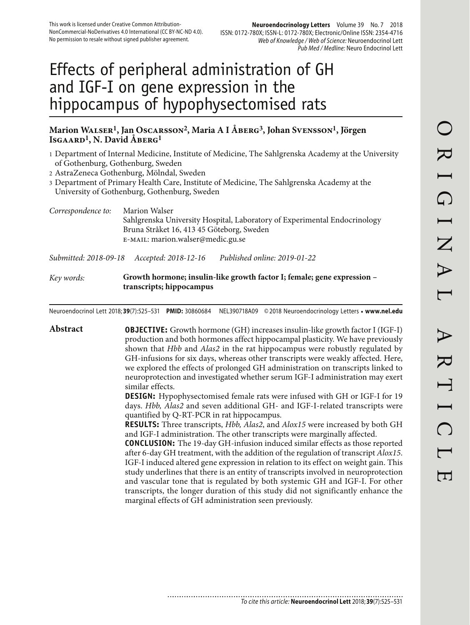# Effects of peripheral administration of GH and IGF-I on gene expression in the hippocampus of hypophysectomised rats

# **Marion Walser1, Jan Oscarsson2, Maria A I Åberg3, Johan Svensson1, Jörgen Isgaard1, N. David Åberg1**

- 1 Department of Internal Medicine, Institute of Medicine, The Sahlgrenska Academy at the University of Gothenburg, Gothenburg, Sweden
- 2 AstraZeneca Gothenburg, Mölndal, Sweden
- 3 Department of Primary Health Care, Institute of Medicine, The Sahlgrenska Academy at the University of Gothenburg, Gothenburg, Sweden

| Correspondence to: | Marion Walser<br>Sahlgrenska University Hospital, Laboratory of Experimental Endocrinology<br>Bruna Stråket 16, 413 45 Göteborg, Sweden<br>E-MAIL: marion.walser@medic.gu.se |
|--------------------|------------------------------------------------------------------------------------------------------------------------------------------------------------------------------|
|                    |                                                                                                                                                                              |

*Submitted: 2018-09-18 Accepted: 2018-12-16 Published online: 2019-01-22*

## *Key words:* **Growth hormone; insulin-like growth factor I; female; gene expression – transcripts; hippocampus**

Neuroendocrinol Lett 2018; **39**(7):525–531 **PMID:** 30860684 NEL390718A09 © 2018 Neuroendocrinology Letters • **www.nel.edu**

**Abstract OBJECTIVE:** Growth hormone (GH) increases insulin-like growth factor I (IGF-I) production and both hormones affect hippocampal plasticity. We have previously shown that *Hbb* and *Alas2* in the rat hippocampus were robustly regulated by GH-infusions for six days, whereas other transcripts were weakly affected. Here, we explored the effects of prolonged GH administration on transcripts linked to neuroprotection and investigated whether serum IGF-I administration may exert similar effects. **DESIGN:** Hypophysectomised female rats were infused with GH or IGF-I for 19 days. *Hbb, Alas2* and seven additional GH- and IGF-I-related transcripts were quantified by Q-RT-PCR in rat hippocampus. **RESULTS:** Three transcripts, *Hbb, Alas2*, and *Alox15* were increased by both GH and IGF-I administration. The other transcripts were marginally affected. **CONCLUSION:** The 19-day GH-infusion induced similar effects as those reported after 6-day GH treatment, with the addition of the regulation of transcript *Alox15*. IGF-I induced altered gene expression in relation to its effect on weight gain. This study underlines that there is an entity of transcripts involved in neuroprotection and vascular tone that is regulated by both systemic GH and IGF-I. For other transcripts, the longer duration of this study did not significantly enhance the marginal effects of GH administration seen previously.

...........................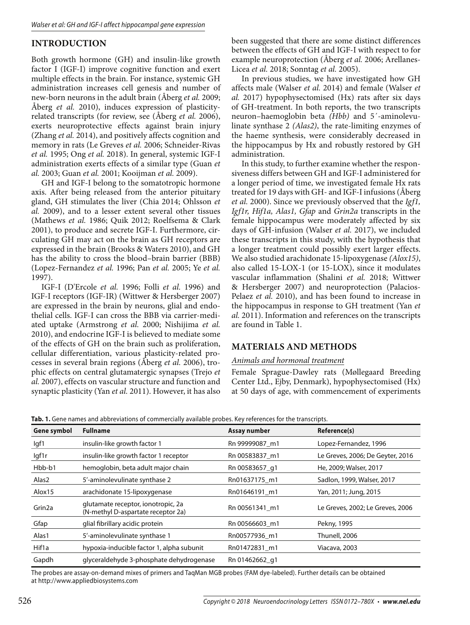# **INTRODUCTION**

Both growth hormone (GH) and insulin-like growth factor I (IGF-I) improve cognitive function and exert multiple effects in the brain. For instance, systemic GH administration increases cell genesis and number of new-born neurons in the adult brain (Åberg *et al.* 2009; Åberg *et al.* 2010), induces expression of plasticityrelated transcripts (for review, see (Åberg *et al.* 2006), exerts neuroprotective effects against brain injury (Zhang *et al.* 2014), and positively affects cognition and memory in rats (Le Greves *et al.* 2006; Schneider-Rivas *et al.* 1995; Ong *et al.* 2018). In general, systemic IGF-I administration exerts effects of a similar type (Guan *et al.* 2003; Guan *et al.* 2001; Kooijman *et al.* 2009).

GH and IGF-I belong to the somatotropic hormone axis. After being released from the anterior pituitary gland, GH stimulates the liver (Chia 2014; Ohlsson *et al.* 2009), and to a lesser extent several other tissues (Mathews *et al.* 1986; Quik 2012; Roelfsema & Clark 2001), to produce and secrete IGF-I. Furthermore, circulating GH may act on the brain as GH receptors are expressed in the brain (Brooks & Waters 2010), and GH has the ability to cross the blood–brain barrier (BBB) (Lopez-Fernandez *et al.* 1996; Pan *et al.* 2005; Ye *et al.* 1997).

IGF-I (D'Ercole *et al.* 1996; Folli *et al.* 1996) and IGF-I receptors (IGF-IR) (Wittwer & Hersberger 2007) are expressed in the brain by neurons, glial and endothelial cells. IGF-I can cross the BBB via carrier-mediated uptake (Armstrong *et al.* 2000; Nishijima *et al.* 2010), and endocrine IGF-I is believed to mediate some of the effects of GH on the brain such as proliferation, cellular differentiation, various plasticity-related processes in several brain regions (Åberg *et al.* 2006), trophic effects on central glutamatergic synapses (Trejo *et al.* 2007), effects on vascular structure and function and synaptic plasticity (Yan *et al.* 2011). However, it has also

been suggested that there are some distinct differences between the effects of GH and IGF-I with respect to for example neuroprotection (Åberg *et al.* 2006; Arellanes-Licea *et al.* 2018; Sonntag *et al.* 2005).

In previous studies, we have investigated how GH affects male (Walser *et al.* 2014) and female (Walser *et al.* 2017) hypophysectomised (Hx) rats after six days of GH-treatment. In both reports, the two transcripts neuron–haemoglobin beta *(Hbb)* and 5´-aminolevulinate synthase 2 *(Alas2)*, the rate-limiting enzymes of the haeme synthesis, were considerably decreased in the hippocampus by Hx and robustly restored by GH administration.

In this study, to further examine whether the responsiveness differs between GH and IGF-I administered for a longer period of time, we investigated female Hx rats treated for 19 days with GH- and IGF-I infusions (Åberg *et al.* 2000). Since we previously observed that the *Igf1, Igf1r, Hif1a, Alas1, Gfap* and *Grin2a* transcripts in the female hippocampus were moderately affected by six days of GH-infusion (Walser *et al.* 2017), we included these transcripts in this study, with the hypothesis that a longer treatment could possibly exert larger effects. We also studied arachidonate 15-lipoxygenase *(Alox15)*, also called 15-LOX-1 (or 15-LOX), since it modulates vascular inflammation (Shalini *et al.* 2018; Wittwer & Hersberger 2007) and neuroprotection (Palacios-Pelaez *et al.* 2010), and has been found to increase in the hippocampus in response to GH treatment (Yan *et al.* 2011). Information and references on the transcripts are found in Table 1.

## **MATERIALS AND METHODS**

#### *Animals and hormonal treatment*

Female Sprague-Dawley rats (Møllegaard Breeding Center Ltd., Ejby, Denmark), hypophysectomised (Hx) at 50 days of age, with commencement of experiments

**Tab. 1.** Gene names and abbreviations of commercially available probes. Key references for the transcripts.

| Gene symbol        | <b>Fullname</b>                                                          | Assay number   | Reference(s)                     |  |
|--------------------|--------------------------------------------------------------------------|----------------|----------------------------------|--|
| lgf1               | insulin-like growth factor 1                                             | Rn 99999087 m1 | Lopez-Fernandez, 1996            |  |
| lgf1r              | insulin-like growth factor 1 receptor                                    | Rn 00583837_m1 | Le Greves, 2006; De Geyter, 2016 |  |
| Hbb-b1             | hemoglobin, beta adult major chain                                       | Rn 00583657 g1 | He, 2009; Walser, 2017           |  |
| Alas2              | 5'-aminolevulinate synthase 2                                            | Rn01637175 m1  | Sadlon, 1999, Walser, 2017       |  |
| Alox15             | arachidonate 15-lipoxygenase                                             | Rn01646191 m1  | Yan, 2011; Jung, 2015            |  |
| Grin <sub>2a</sub> | glutamate receptor, ionotropic, 2a<br>(N-methyl D-aspartate receptor 2a) | Rn 00561341 m1 | Le Greves, 2002; Le Greves, 2006 |  |
| Gfap               | glial fibrillary acidic protein                                          | Rn 00566603 m1 | Pekny, 1995                      |  |
| Alas1              | 5'-aminolevulinate synthase 1                                            | Rn00577936 m1  | Thunell, 2006                    |  |
| Hif1a              | hypoxia-inducible factor 1, alpha subunit                                | Rn01472831 m1  | Viacava, 2003                    |  |
| Gapdh              | glyceraldehyde 3-phosphate dehydrogenase                                 | Rn 01462662_q1 |                                  |  |

The probes are assay-on-demand mixes of primers and TaqMan MGB probes (FAM dye-labeled). Further details can be obtained at http://www.appliedbiosystems.com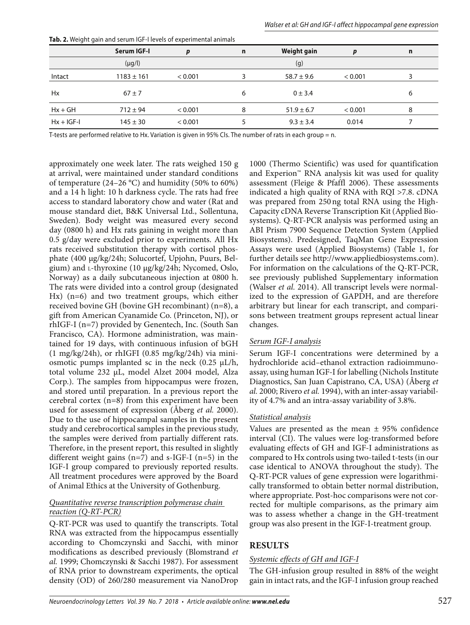|              | Serum IGF-I    | p       | n | <b>Weight gain</b> | D       | n |
|--------------|----------------|---------|---|--------------------|---------|---|
|              | $(\mu g/I)$    |         |   | (g)                |         |   |
| Intact       | $1183 \pm 161$ | < 0.001 |   | $58.7 \pm 9.6$     | < 0.001 |   |
| Hx           | $67 \pm 7$     |         | 6 | $0 \pm 3.4$        |         | 6 |
| $Hx + GH$    | $712 \pm 94$   | < 0.001 | 8 | $51.9 \pm 6.7$     | < 0.001 | 8 |
| $Hx + IGF-I$ | $145 \pm 30$   | < 0.001 |   | $9.3 \pm 3.4$      | 0.014   |   |

**Tab. 2.** Weight gain and serum IGF-I levels of experimental animals

T-tests are performed relative to Hx. Variation is given in 95% Cls. The number of rats in each group = n.

approximately one week later. The rats weighed 150 g at arrival, were maintained under standard conditions of temperature (24–26 °C) and humidity (50% to 60%) and a 14 h light: 10 h darkness cycle. The rats had free access to standard laboratory chow and water (Rat and mouse standard diet, B&K Universal Ltd., Sollentuna, Sweden). Body weight was measured every second day (0800 h) and Hx rats gaining in weight more than 0.5 g/day were excluded prior to experiments. All Hx rats received substitution therapy with cortisol phosphate (400 μg/kg/24h; Solucortef, Upjohn, Puurs, Belgium) and L-thyroxine (10 μg/kg/24h; Nycomed, Oslo, Norway) as a daily subcutaneous injection at 0800 h. The rats were divided into a control group (designated Hx) (n=6) and two treatment groups, which either received bovine GH (bovine GH recombinant) (n=8), a gift from American Cyanamide Co. (Princeton, NJ), or rhIGF-I (n=7) provided by Genentech, Inc. (South San Francisco, CA). Hormone administration, was maintained for 19 days, with continuous infusion of bGH (1 mg/kg/24h), or rhIGFI (0.85 mg/kg/24h) via miniosmotic pumps implanted sc in the neck  $(0.25 \mu L/h)$ , total volume 232 μL, model Alzet 2004 model, Alza Corp.). The samples from hippocampus were frozen, and stored until preparation. In a previous report the cerebral cortex (n=8) from this experiment have been used for assessment of expression (Åberg *et al.* 2000). Due to the use of hippocampal samples in the present study and cerebrocortical samples in the previous study, the samples were derived from partially different rats. Therefore, in the present report, this resulted in slightly different weight gains  $(n=7)$  and s-IGF-I  $(n=5)$  in the IGF-I group compared to previously reported results. All treatment procedures were approved by the Board of Animal Ethics at the University of Gothenburg.

#### *Quantitative reverse transcription polymerase chain reaction (Q-RT-PCR)*

Q-RT-PCR was used to quantify the transcripts. Total RNA was extracted from the hippocampus essentially according to Chomczynski and Sacchi, with minor modifications as described previously (Blomstrand *et al.* 1999; Chomczynski & Sacchi 1987). For assessment of RNA prior to downstream experiments, the optical density (OD) of 260/280 measurement via NanoDrop 1000 (Thermo Scientific) was used for quantification and Experion™ RNA analysis kit was used for quality assessment (Fleige & Pfaffl 2006). These assessments indicated a high quality of RNA with RQI >7.8. cDNA was prepared from 250 ng total RNA using the High-Capacity cDNA Reverse Transcription Kit (Applied Biosystems). Q-RT-PCR analysis was performed using an ABI Prism 7900 Sequence Detection System (Applied Biosystems). Predesigned, TaqMan Gene Expression Assays were used (Applied Biosystems) (Table 1, for further details see http://www.appliedbiosystems.com). For information on the calculations of the Q-RT-PCR, see previously published Supplementary information (Walser *et al.* 2014). All transcript levels were normalized to the expression of GAPDH, and are therefore arbitrary but linear for each transcript, and comparisons between treatment groups represent actual linear changes.

#### *Serum IGF-I analysis*

Serum IGF-I concentrations were determined by a hydrochloride acid–ethanol extraction radioimmunoassay, using human IGF-I for labelling (Nichols Institute Diagnostics, San Juan Capistrano, CA, USA) (Åberg *et al.* 2000; Rivero *et al.* 1994), with an inter-assay variability of 4.7% and an intra-assay variability of 3.8%.

## *Statistical analysis*

Values are presented as the mean  $\pm$  95% confidence interval (CI). The values were log-transformed before evaluating effects of GH and IGF-I administrations as compared to Hx controls using two-tailed t-tests (in our case identical to ANOVA throughout the study). The Q-RT-PCR values of gene expression were logarithmically transformed to obtain better normal distribution, where appropriate. Post-hoc comparisons were not corrected for multiple comparisons, as the primary aim was to assess whether a change in the GH-treatment group was also present in the IGF-I-treatment group.

# **RESULTS**

## *Systemic effects of GH and IGF-I*

The GH-infusion group resulted in 88% of the weight gain in intact rats, and the IGF-I infusion group reached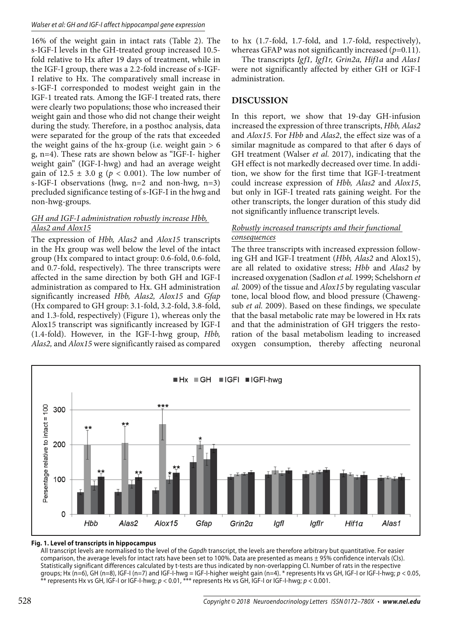16% of the weight gain in intact rats (Table 2). The s-IGF-I levels in the GH-treated group increased 10.5 fold relative to Hx after 19 days of treatment, while in the IGF-I group, there was a 2.2-fold increase of s-IGF-I relative to Hx. The comparatively small increase in s-IGF-I corresponded to modest weight gain in the IGF-1 treated rats. Among the IGF-I treated rats, there were clearly two populations; those who increased their weight gain and those who did not change their weight during the study. Therefore, in a posthoc analysis, data were separated for the group of the rats that exceeded the weight gains of the hx-group (i.e. weight gain  $> 6$ g, n=4). These rats are shown below as "IGF-I- higher weight gain" (IGF-I-hwg) and had an average weight gain of  $12.5 \pm 3.0$  g ( $p < 0.001$ ). The low number of s-IGF-I observations (hwg, n=2 and non-hwg, n=3) precluded significance testing of s-IGF-I in the hwg and non-hwg-groups.

## *GH and IGF-I administration robustly increase Hbb, Alas2 and Alox15*

The expression of *Hbb, Alas2* and *Alox15* transcripts in the Hx group was well below the level of the intact group (Hx compared to intact group: 0.6-fold, 0.6-fold, and 0.7-fold, respectively). The three transcripts were affected in the same direction by both GH and IGF-I administration as compared to Hx. GH administration significantly increased *Hbb, Alas2, Alox15* and *Gfap* (Hx compared to GH group: 3.1-fold, 3.2-fold, 3.8-fold, and 1.3-fold, respectively) (Figure 1), whereas only the Alox15 transcript was significantly increased by IGF-I (1.4-fold). However, in the IGF-I-hwg group, *Hbb, Alas2,* and *Alox15* were significantly raised as compared

to hx (1.7-fold, 1.7-fold, and 1.7-fold, respectively), whereas GFAP was not significantly increased ( $p=0.11$ ).

The transcripts *Igf1, Igf1r, Grin2a, Hif1a* and *Alas1* were not significantly affected by either GH or IGF-I administration.

## **DISCUSSION**

In this report, we show that 19-day GH-infusion increased the expression of three transcripts, *Hbb, Alas2* and *Alox15*. For *Hbb* and *Alas2*, the effect size was of a similar magnitude as compared to that after 6 days of GH treatment (Walser *et al.* 2017), indicating that the GH effect is not markedly decreased over time. In addition, we show for the first time that IGF-I-treatment could increase expression of *Hbb, Alas2* and *Alox15*, but only in IGF-I treated rats gaining weight. For the other transcripts, the longer duration of this study did not significantly influence transcript levels.

#### *Robustly increased transcripts and their functional consequences*

The three transcripts with increased expression following GH and IGF-I treatment (*Hbb, Alas2* and Alox15), are all related to oxidative stress; *Hbb* and *Alas2* by increased oxygenation (Sadlon *et al.* 1999; Schelshorn *et al.* 2009) of the tissue and *Alox15* by regulating vascular tone, local blood flow, and blood pressure (Chawengsub *et al.* 2009). Based on these findings, we speculate that the basal metabolic rate may be lowered in Hx rats and that the administration of GH triggers the restoration of the basal metabolism leading to increased oxygen consumption, thereby affecting neuronal



#### **Fig. 1. Level of transcripts in hippocampus**

All transcript levels are normalised to the level of the Gapdh transcript, the levels are therefore arbitrary but quantitative. For easier comparison, the average levels for intact rats have been set to 100%. Data are presented as means ± 95% confidence intervals (CIs). Statistically significant differences calculated by t-tests are thus indicated by non-overlapping CI. Number of rats in the respective groups; Hx (n=6), GH (n=8), IGF-I (n=7) and IGF-I-hwg = IGF-I-higher weight gain (n=4). \* represents Hx vs GH, IGF-I or IGF-I-hwg; p < 0.05,  $^*$  represents Hx vs GH, IGF-I or IGF-I-hwg;  $p < 0.01$ ,  $^{***}$  represents Hx vs GH, IGF-I or IGF-I-hwg;  $p < 0.001$ .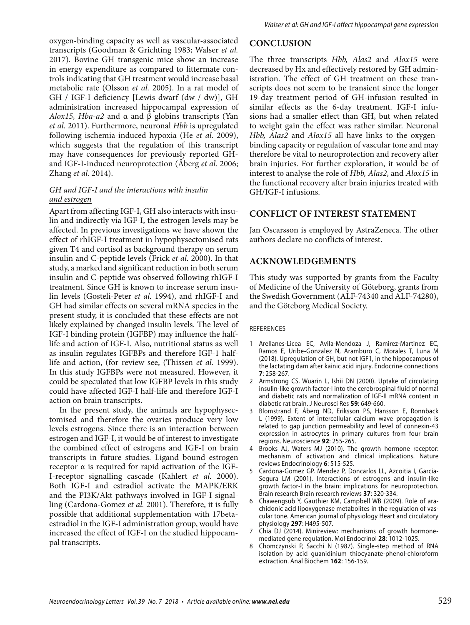oxygen-binding capacity as well as vascular-associated transcripts (Goodman & Grichting 1983; Walser *et al.* 2017). Bovine GH transgenic mice show an increase in energy expenditure as compared to littermate controls indicating that GH treatment would increase basal metabolic rate (Olsson *et al.* 2005). In a rat model of GH / IGF-I deficiency [Lewis dwarf (dw / dw)], GH administration increased hippocampal expression of *Alox15, Hba-a2* and α and β globins transcripts (Yan *et al.* 2011). Furthermore, neuronal *Hbb* is upregulated following ischemia-induced hypoxia (He *et al.* 2009), which suggests that the regulation of this transcript may have consequences for previously reported GHand IGF-I-induced neuroprotection (Åberg *et al.* 2006; Zhang *et al.* 2014).

#### *GH and IGF-I and the interactions with insulin and estrogen*

Apart from affecting IGF-I, GH also interacts with insulin and indirectly via IGF-I, the estrogen levels may be affected. In previous investigations we have shown the effect of rhIGF-I treatment in hypophysectomised rats given T4 and cortisol as background therapy on serum insulin and C-peptide levels (Frick *et al.* 2000). In that study, a marked and significant reduction in both serum insulin and C-peptide was observed following rhIGF-I treatment. Since GH is known to increase serum insulin levels (Gosteli-Peter *et al.* 1994), and rhIGF-I and GH had similar effects on several mRNA species in the present study, it is concluded that these effects are not likely explained by changed insulin levels. The level of IGF-I binding protein (IGFBP) may influence the halflife and action of IGF-I. Also, nutritional status as well as insulin regulates IGFBPs and therefore IGF-1 halflife and action, (for review see, (Thissen *et al.* 1999). In this study IGFBPs were not measured. However, it could be speculated that low IGFBP levels in this study could have affected IGF-I half-life and therefore IGF-I action on brain transcripts.

In the present study, the animals are hypophysectomised and therefore the ovaries produce very low levels estrogens. Since there is an interaction between estrogen and IGF-I, it would be of interest to investigate the combined effect of estrogens and IGF-I on brain transcripts in future studies. Ligand bound estrogen receptor α is required for rapid activation of the IGF-I-receptor signalling cascade (Kahlert *et al.* 2000). Both IGF-I and estradiol activate the MAPK/ERK and the PI3K/Akt pathways involved in IGF-I signalling (Cardona-Gomez *et al.* 2001). Therefore, it is fully possible that additional supplementation with 17betaestradiol in the IGF-I administration group, would have increased the effect of IGF-I on the studied hippocampal transcripts.

# **CONCLUSION**

The three transcripts *Hbb, Alas2* and *Alox15* were decreased by Hx and effectively restored by GH administration. The effect of GH treatment on these transcripts does not seem to be transient since the longer 19-day treatment period of GH-infusion resulted in similar effects as the 6-day treatment. IGF-I infusions had a smaller effect than GH, but when related to weight gain the effect was rather similar. Neuronal *Hbb, Alas2* and *Alox15* all have links to the oxygenbinding capacity or regulation of vascular tone and may therefore be vital to neuroprotection and recovery after brain injuries. For further exploration, it would be of interest to analyse the role of *Hbb, Alas2*, and *Alox15* in the functional recovery after brain injuries treated with GH/IGF-I infusions.

#### **CONFLICT OF INTEREST STATEMENT**

Jan Oscarsson is employed by AstraZeneca. The other authors declare no conflicts of interest.

## **ACKNOWLEDGEMENTS**

This study was supported by grants from the Faculty of Medicine of the University of Göteborg, grants from the Swedish Government (ALF-74340 and ALF-74280), and the Göteborg Medical Society.

#### REFERENCES

- 1 Arellanes-Licea EC, Avila-Mendoza J, Ramirez-Martinez EC, Ramos E, Uribe-Gonzalez N, Aramburo C, Morales T, Luna M (2018). Upregulation of GH, but not IGF1, in the hippocampus of the lactating dam after kainic acid injury. Endocrine connections **7**: 258-267.
- 2 Armstrong CS, Wuarin L, Ishii DN (2000). Uptake of circulating insulin-like growth factor-I into the cerebrospinal fluid of normal and diabetic rats and normalization of IGF-II mRNA content in diabetic rat brain. J Neurosci Res **59**: 649-660.
- 3 Blomstrand F, Åberg ND, Eriksson PS, Hansson E, Ronnback L (1999). Extent of intercellular calcium wave propagation is related to gap junction permeability and level of connexin-43 expression in astrocytes in primary cultures from four brain regions. Neuroscience **92**: 255-265.
- 4 Brooks AJ, Waters MJ (2010). The growth hormone receptor: mechanism of activation and clinical implications. Nature reviews Endocrinology **6**: 515-525.
- 5 Cardona-Gomez GP, Mendez P, Doncarlos LL, Azcoitia I, Garcia-Segura LM (2001). Interactions of estrogens and insulin-like growth factor-I in the brain: implications for neuroprotection. Brain research Brain research reviews **37**: 320-334.
- 6 Chawengsub Y, Gauthier KM, Campbell WB (2009). Role of arachidonic acid lipoxygenase metabolites in the regulation of vascular tone. American journal of physiology Heart and circulatory physiology **297**: H495-507.
- 7 Chia DJ (2014). Minireview: mechanisms of growth hormonemediated gene regulation. Mol Endocrinol **28**: 1012-1025.
- Chomczynski P, Sacchi N (1987). Single-step method of RNA isolation by acid guanidinium thiocyanate-phenol-chloroform extraction. Anal Biochem **162**: 156-159.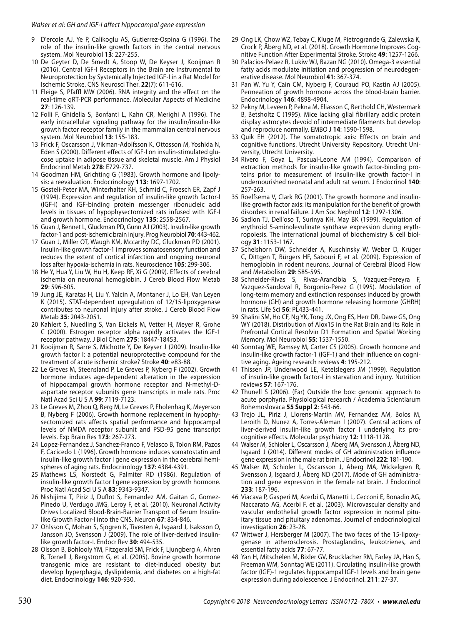- 9 D'ercole AJ, Ye P, Calikoglu AS, Gutierrez-Ospina G (1996). The role of the insulin-like growth factors in the central nervous system. Mol Neurobiol **13**: 227-255.
- 10 De Geyter D, De Smedt A, Stoop W, De Keyser J, Kooijman R (2016). Central IGF-I Receptors in the Brain are Instrumental to Neuroprotection by Systemically Injected IGF-I in a Rat Model for Ischemic Stroke. CNS Neurosci Ther. **22**(7): 611-616.
- 11 Fleige S, Pfaffl MW (2006). RNA integrity and the effect on the real-time qRT-PCR performance. Molecular Aspects of Medicine **27**: 126-139.
- 12 Folli F, Ghidella S, Bonfanti L, Kahn CR, Merighi A (1996). The early intracellular signaling pathway for the insulin/insulin-like growth factor receptor family in the mammalian central nervous system. Mol Neurobiol **13**: 155-183.
- 13 Frick F, Oscarsson J, Vikman-Adolfsson K, Ottosson M, Yoshida N, Eden S (2000). Different effects of IGF-I on insulin-stimulated glucose uptake in adipose tissue and skeletal muscle. Am J Physiol Endocrinol Metab **278**: E729-737.
- 14 Goodman HM, Grichting G (1983). Growth hormone and lipolysis: a reevaluation. Endocrinology **113**: 1697-1702.
- 15 Gosteli-Peter MA, Winterhalter KH, Schmid C, Froesch ER, Zapf J (1994). Expression and regulation of insulin-like growth factor-I (IGF-I) and IGF-binding protein messenger ribonucleic acid levels in tissues of hypophysectomized rats infused with IGF-I and growth hormone. Endocrinology **135**: 2558-2567.
- 16 Guan J, Bennet L, Gluckman PD, Gunn AJ (2003). Insulin-like growth factor-1 and post-ischemic brain injury. Prog Neurobiol **70**: 443-462.
- 17 Guan J, Miller OT, Waugh KM, Mccarthy DC, Gluckman PD (2001). Insulin-like growth factor-1 improves somatosensory function and reduces the extent of cortical infarction and ongoing neuronal loss after hypoxia-ischemia in rats. Neuroscience **105**: 299-306.
- 18 He Y, Hua Y, Liu W, Hu H, Keep RF, Xi G (2009). Effects of cerebral ischemia on neuronal hemoglobin. J Cereb Blood Flow Metab **29**: 596-605.
- 19 Jung JE, Karatas H, Liu Y, Yalcin A, Montaner J, Lo EH, Van Leyen K (2015). STAT-dependent upregulation of 12/15-lipoxygenase contributes to neuronal injury after stroke. J Cereb Blood Flow Metab **35**: 2043-2051.
- 20 Kahlert S, Nuedling S, Van Eickels M, Vetter H, Meyer R, Grohe C (2000). Estrogen receptor alpha rapidly activates the IGF-1 receptor pathway. J Biol Chem **275**: 18447-18453.
- 21 Kooijman R, Sarre S, Michotte Y, De Keyser J (2009). Insulin-like growth factor I: a potential neuroprotective compound for the treatment of acute ischemic stroke? Stroke **40**: e83-88.
- 22 Le Greves M, Steensland P, Le Greves P, Nyberg F (2002). Growth hormone induces age-dependent alteration in the expression of hippocampal growth hormone receptor and N-methyl-Daspartate receptor subunits gene transcripts in male rats. Proc Natl Acad Sci U S A **99**: 7119-7123.
- 23 Le Greves M, Zhou Q, Berg M, Le Greves P, Fholenhag K, Meyerson B, Nyberg F (2006). Growth hormone replacement in hypophysectomized rats affects spatial performance and hippocampal levels of NMDA receptor subunit and PSD-95 gene transcript levels. Exp Brain Res **173**: 267-273.
- 24 Lopez-Fernandez J, Sanchez-Franco F, Velasco B, Tolon RM, Pazos F, Cacicedo L (1996). Growth hormone induces somatostatin and insulin-like growth factor I gene expression in the cerebral hemispheres of aging rats. Endocrinology **137**: 4384-4391.
- 25 Mathews LS, Norstedt G, Palmiter RD (1986). Regulation of insulin-like growth factor I gene expression by growth hormone. Proc Natl Acad Sci U S A **83**: 9343-9347.
- 26 Nishijima T, Piriz J, Duflot S, Fernandez AM, Gaitan G, Gomez-Pinedo U, Verdugo JMG, Leroy F, et al. (2010). Neuronal Activity Drives Localized Blood-Brain-Barrier Transport of Serum Insulinlike Growth Factor-I into the CNS. Neuron **67**: 834-846.
- 27 Ohlsson C, Mohan S, Sjogren K, Tivesten A, Isgaard J, Isaksson O, Jansson JO, Svensson J (2009). The role of liver-derived insulinlike growth factor-I. Endocr Rev **30**: 494-535.
- 28 Olsson B, Bohlooly YM, Fitzgerald SM, Frick F, Ljungberg A, Ahren B, Tornell J, Bergstrom G, et al. (2005). Bovine growth hormone transgenic mice are resistant to diet-induced obesity but develop hyperphagia, dyslipidemia, and diabetes on a high-fat diet. Endocrinology **146**: 920-930.
- 29 Ong LK, Chow WZ, Tebay C, Kluge M, Pietrogrande G, Zalewska K, Crock P, Åberg ND, et al. (2018). Growth Hormone Improves Cognitive Function After Experimental Stroke. Stroke **49**: 1257-1266.
- 30 Palacios-Pelaez R, Lukiw WJ, Bazan NG (2010). Omega-3 essential fatty acids modulate initiation and progression of neurodegenerative disease. Mol Neurobiol **41**: 367-374.
- 31 Pan W, Yu Y, Cain CM, Nyberg F, Couraud PO, Kastin AJ (2005). Permeation of growth hormone across the blood-brain barrier. Endocrinology **146**: 4898-4904.
- 32 Pekny M, Leveen P, Pekna M, Eliasson C, Berthold CH, Westermark B, Betsholtz C (1995). Mice lacking glial fibrillary acidic protein display astrocytes devoid of intermediate filaments but develop and reproduce normally. EMBO J **14**: 1590-1598.
- 33 Quik EH (2012). The somatotropic axis: Effects on brain and cognitive functions. Utrecht University Repository. Utrecht University, Utrecht University.
- 34 Rivero F, Goya L, Pascual-Leone AM (1994). Comparison of extraction methods for insulin-like growth factor-binding proteins prior to measurement of insulin-like growth factor-I in undernourished neonatal and adult rat serum. J Endocrinol **140**: 257-263.
- 35 Roelfsema V, Clark RG (2001). The growth hormone and insulinlike growth factor axis: its manipulation for the benefit of growth disorders in renal failure. J Am Soc Nephrol **12**: 1297-1306.
- 36 Sadlon TJ, Dell'oso T, Surinya KH, May BK (1999). Regulation of erythroid 5-aminolevulinate synthase expression during erythropoiesis. The international journal of biochemistry & cell biology **31**: 1153-1167.
- 37 Schelshorn DW, Schneider A, Kuschinsky W, Weber D, Krüger C, Dittgen T, Bürgers HF, Sabouri F, et al. (2009). Expression of hemoglobin in rodent neurons. Journal of Cerebral Blood Flow and Metabolism **29**: 585-595.
- 38 Schneider-Rivas S, Rivas-Arancibia S, Vazquez-Pereyra F, Vazquez-Sandoval R, Borgonio-Perez G (1995). Modulation of long-term memory and extinction responses induced by growth hormone (GH) and growth hormone releasing hormone (GHRH) in rats. Life Sci **56**: PL433-441.
- 39 Shalini SM, Ho CF, Ng YK, Tong JX, Ong ES, Herr DR, Dawe GS, Ong WY (2018). Distribution of Alox15 in the Rat Brain and Its Role in Prefrontal Cortical Resolvin D1 Formation and Spatial Working Memory. Mol Neurobiol **55**: 1537-1550.
- 40 Sonntag WE, Ramsey M, Carter CS (2005). Growth hormone and insulin-like growth factor-1 (IGF-1) and their influence on cognitive aging. Ageing research reviews **4**: 195-212.
- 41 Thissen JP, Underwood LE, Ketelslegers JM (1999). Regulation of insulin-like growth factor-I in starvation and injury. Nutrition reviews **57**: 167-176.
- 42 Thunell S (2006). (Far) Outside the box: genomic approach to acute porphyria. Physiological research / Academia Scientiarum Bohemoslovaca **55 Suppl 2**: S43-66.
- 43 Trejo JL, Piriz J, Llorens-Martin MV, Fernandez AM, Bolos M, Leroith D, Nunez A, Torres-Aleman I (2007). Central actions of liver-derived insulin-like growth factor I underlying its procognitive effects. Molecular psychiatry **12**: 1118-1128.
- 44 Walser M, Schioler L, Oscarsson J, Aberg MA, Svensson J, Åberg ND, Isgaard J (2014). Different modes of GH administration influence gene expression in the male rat brain. J Endocrinol **222**: 181-190.
- 45 Walser M, Schioler L, Oscarsson J, Aberg MA, Wickelgren R, Svensson J, Isgaard J, Åberg ND (2017). Mode of GH administration and gene expression in the female rat brain. J Endocrinol **233**: 187-196.
- 46 Viacava P, Gasperi M, Acerbi G, Manetti L, Cecconi E, Bonadio AG, Naccarato AG, Acerbi F, et al. (2003). Microvascular density and vascular endothelial growth factor expression in normal pituitary tissue and pituitary adenomas. Journal of endocrinological investigation **26**: 23-28.
- 47 Wittwer J, Hersberger M (2007). The two faces of the 15-lipoxygenase in atherosclerosis. Prostaglandins, leukotrienes, and essential fatty acids **77**: 67-77.
- 48 Yan H, Mitschelen M, Bixler GV, Brucklacher RM, Farley JA, Han S, Freeman WM, Sonntag WE (2011). Circulating insulin-like growth factor (IGF)-1 regulates hippocampal IGF-1 levels and brain gene expression during adolescence. J Endocrinol. **211**: 27-37.